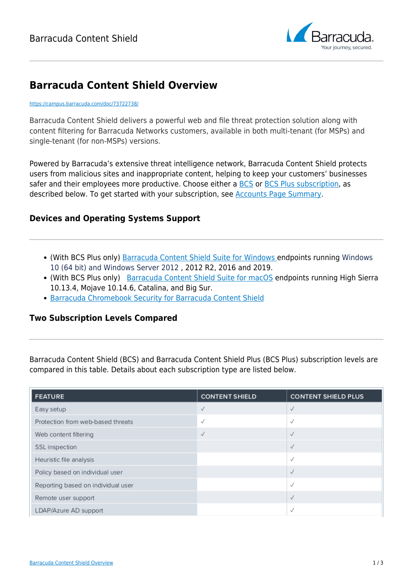

# **Barracuda Content Shield Overview**

#### <https://campus.barracuda.com/doc/73722738/>

Barracuda Content Shield delivers a powerful web and file threat protection solution along with content filtering for Barracuda Networks customers, available in both multi-tenant (for MSPs) and single-tenant (for non-MSPs) versions.

Powered by Barracuda's extensive threat intelligence network, Barracuda Content Shield protects users from malicious sites and inappropriate content, helping to keep your customers' businesses safer and their employees more productive. Choose either a [BCS](http://campus.barracuda.com/doc/78810195/) or [BCS Plus subscription](http://campus.barracuda.com/doc/79466243/), as described below. To get started with your subscription, see [Accounts Page Summary](http://campus.barracuda.com/doc/78156085/).

# **Devices and Operating Systems Support**

- (With BCS Plus only) [Barracuda Content Shield Suite for Windows e](http://campus.barracuda.com/doc/79463711/)ndpoints running Windows 10 (64 bit) and Windows Server 2012 , 2012 R2, 2016 and 2019.
- (With BCS Plus only) [Barracuda Content Shield Suite for macOS](http://campus.barracuda.com/doc/88539862/) endpoints running High Sierra 10.13.4, Mojave 10.14.6, Catalina, and Big Sur.
- [Barracuda Chromebook Security for Barracuda Content Shield](http://campus.barracuda.com/doc/91987523/)

## **Two Subscription Levels Compared**

Barracuda Content Shield (BCS) and Barracuda Content Shield Plus (BCS Plus) subscription levels are compared in this table. Details about each subscription type are listed below.

| <b>FEATURE</b>                     | <b>CONTENT SHIELD</b> | <b>CONTENT SHIELD PLUS</b> |
|------------------------------------|-----------------------|----------------------------|
| Easy setup                         | √                     | √                          |
| Protection from web-based threats  | √                     | √                          |
| Web content filtering              | √                     | √                          |
| SSL inspection                     |                       | $\checkmark$               |
| Heuristic file analysis            |                       | $\checkmark$               |
| Policy based on individual user    |                       | √                          |
| Reporting based on individual user |                       | $\checkmark$               |
| Remote user support                |                       | $\checkmark$               |
| LDAP/Azure AD support              |                       | √                          |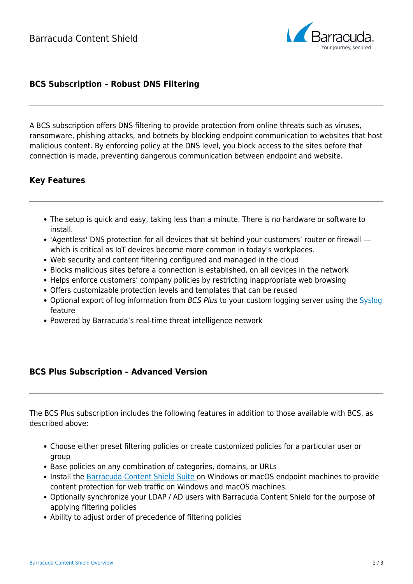

# **BCS Subscription – Robust DNS Filtering**

A BCS subscription offers DNS filtering to provide protection from online threats such as viruses, ransomware, phishing attacks, and botnets by blocking endpoint communication to websites that host malicious content. By enforcing policy at the DNS level, you block access to the sites before that connection is made, preventing dangerous communication between endpoint and website.

## **Key Features**

- The setup is quick and easy, taking less than a minute. There is no hardware or software to install.
- 'Agentless' DNS protection for all devices that sit behind your customers' router or firewall which is critical as IoT devices become more common in today's workplaces.
- Web security and content filtering configured and managed in the cloud
- Blocks malicious sites before a connection is established, on all devices in the network
- Helps enforce customers' company policies by restricting inappropriate web browsing
- Offers customizable protection levels and templates that can be reused
- Optional export of log information from BCS Plus to your custom logging server using the [Syslog](http://campus.barracuda.com/doc/92766352/) feature
- Powered by Barracuda's real-time threat intelligence network

#### **BCS Plus Subscription – Advanced Version**

The BCS Plus subscription includes the following features in addition to those available with BCS, as described above:

- Choose either preset filtering policies or create customized policies for a particular user or group
- Base policies on any combination of categories, domains, or URLs
- Install the [Barracuda Content Shield Suite o](http://campus.barracuda.com/doc/90441671/)n Windows or macOS endpoint machines to provide content protection for web traffic on Windows and macOS machines.
- Optionally synchronize your LDAP / AD users with Barracuda Content Shield for the purpose of applying filtering policies
- Ability to adjust order of precedence of filtering policies